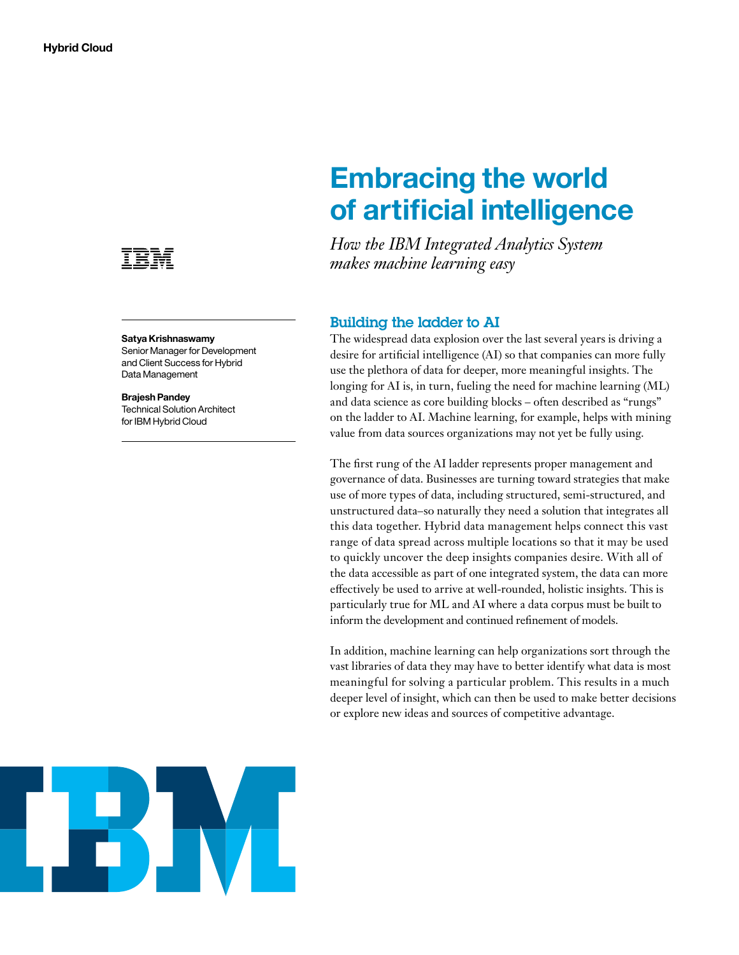

#### **Satya Krishnaswamy**

Senior Manager for Development and Client Success for Hybrid Data Management

#### **Brajesh Pandey**

Technical Solution Architect for IBM Hybrid Cloud

# **Embracing the world of artificial intelligence**

*How the IBM Integrated Analytics System makes machine learning easy*

# Building the ladder to AI

The widespread data explosion over the last several years is driving a desire for artificial intelligence (AI) so that companies can more fully use the plethora of data for deeper, more meaningful insights. The longing for AI is, in turn, fueling the need for machine learning (ML) and data science as core building blocks – often described as "rungs" on the ladder to AI. Machine learning, for example, helps with mining value from data sources organizations may not yet be fully using.

The first rung of the AI ladder represents proper management and governance of data. Businesses are turning toward strategies that make use of more types of data, including structured, semi-structured, and unstructured data–so naturally they need a solution that integrates all this data together. Hybrid data management helps connect this vast range of data spread across multiple locations so that it may be used to quickly uncover the deep insights companies desire. With all of the data accessible as part of one integrated system, the data can more effectively be used to arrive at well-rounded, holistic insights. This is particularly true for ML and AI where a data corpus must be built to inform the development and continued refinement of models.

In addition, machine learning can help organizations sort through the vast libraries of data they may have to better identify what data is most meaningful for solving a particular problem. This results in a much deeper level of insight, which can then be used to make better decisions or explore new ideas and sources of competitive advantage.

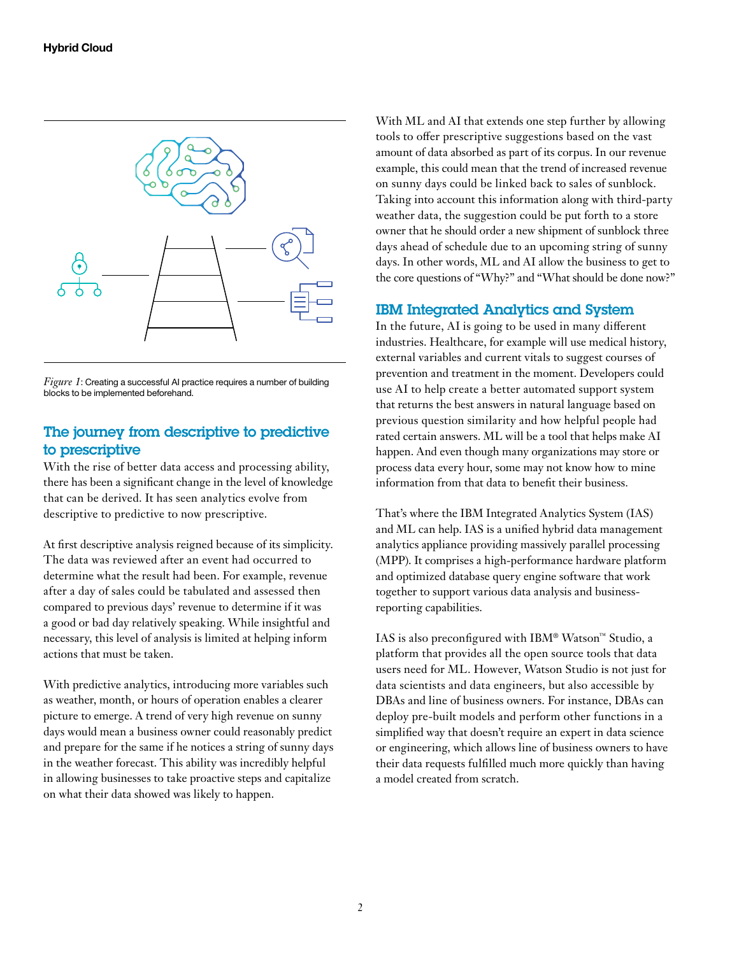

*Figure 1*: Creating a successful AI practice requires a number of building blocks to be implemented beforehand.

# The journey from descriptive to predictive to prescriptive

With the rise of better data access and processing ability, there has been a significant change in the level of knowledge that can be derived. It has seen analytics evolve from descriptive to predictive to now prescriptive.

At first descriptive analysis reigned because of its simplicity. The data was reviewed after an event had occurred to determine what the result had been. For example, revenue after a day of sales could be tabulated and assessed then compared to previous days' revenue to determine if it was a good or bad day relatively speaking. While insightful and necessary, this level of analysis is limited at helping inform actions that must be taken.

With predictive analytics, introducing more variables such as weather, month, or hours of operation enables a clearer picture to emerge. A trend of very high revenue on sunny days would mean a business owner could reasonably predict and prepare for the same if he notices a string of sunny days in the weather forecast. This ability was incredibly helpful in allowing businesses to take proactive steps and capitalize on what their data showed was likely to happen.

With ML and AI that extends one step further by allowing tools to offer prescriptive suggestions based on the vast amount of data absorbed as part of its corpus. In our revenue example, this could mean that the trend of increased revenue on sunny days could be linked back to sales of sunblock. Taking into account this information along with third-party weather data, the suggestion could be put forth to a store owner that he should order a new shipment of sunblock three days ahead of schedule due to an upcoming string of sunny days. In other words, ML and AI allow the business to get to the core questions of "Why?" and "What should be done now?"

# IBM Integrated Analytics and System

In the future, AI is going to be used in many different industries. Healthcare, for example will use medical history, external variables and current vitals to suggest courses of prevention and treatment in the moment. Developers could use AI to help create a better automated support system that returns the best answers in natural language based on previous question similarity and how helpful people had rated certain answers. ML will be a tool that helps make AI happen. And even though many organizations may store or process data every hour, some may not know how to mine information from that data to benefit their business.

That's where the IBM Integrated Analytics System (IAS) and ML can help. IAS is a unified hybrid data management analytics appliance providing massively parallel processing (MPP). It comprises a high-performance hardware platform and optimized database query engine software that work together to support various data analysis and businessreporting capabilities.

IAS is also preconfigured with IBM® Watson™ Studio, a platform that provides all the open source tools that data users need for ML. However, Watson Studio is not just for data scientists and data engineers, but also accessible by DBAs and line of business owners. For instance, DBAs can deploy pre-built models and perform other functions in a simplified way that doesn't require an expert in data science or engineering, which allows line of business owners to have their data requests fulfilled much more quickly than having a model created from scratch.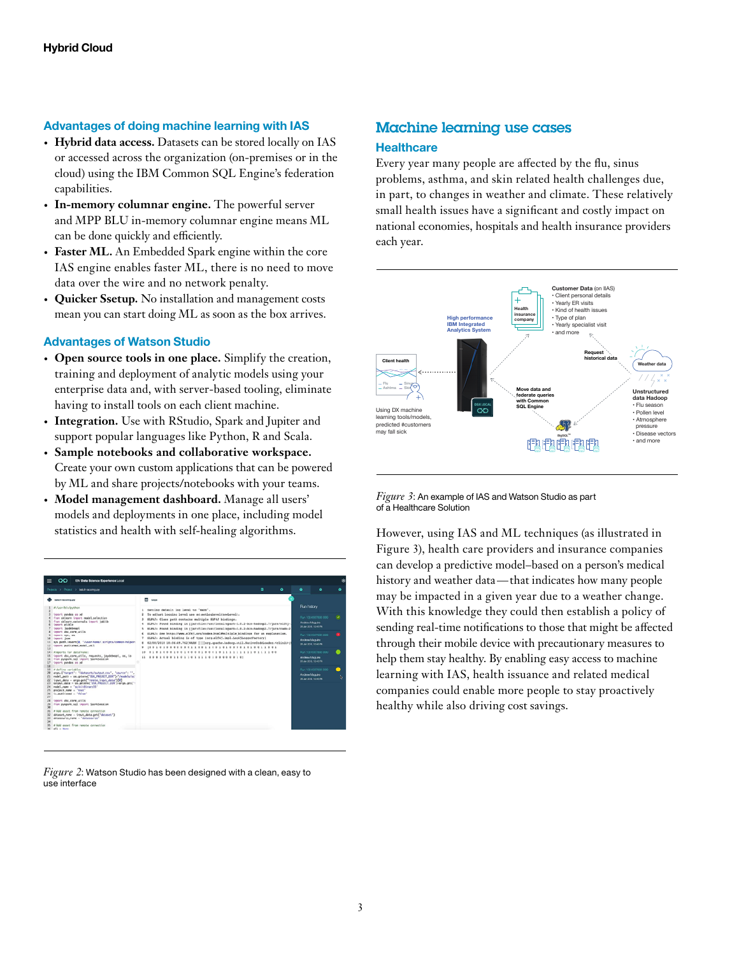## **Advantages of doing machine learning with IAS**

- **• Hybrid data access.** Datasets can be stored locally on IAS or accessed across the organization (on-premises or in the cloud) using the IBM Common SQL Engine's federation capabilities.
- **• In-memory columnar engine.** The powerful server and MPP BLU in-memory columnar engine means ML can be done quickly and efficiently.
- **• Faster ML.** An Embedded Spark engine within the core IAS engine enables faster ML, there is no need to move data over the wire and no network penalty.
- **• Quicker Ssetup.** No installation and management costs mean you can start doing ML as soon as the box arrives.

#### **Advantages of Watson Studio**

- **• Open source tools in one place.** Simplify the creation, training and deployment of analytic models using your enterprise data and, with server-based tooling, eliminate having to install tools on each client machine.
- **• Integration.** Use with RStudio, Spark and Jupiter and support popular languages like Python, R and Scala.
- **• Sample notebooks and collaborative workspace.** Create your own custom applications that can be powered by ML and share projects/notebooks with your teams.
- **• Model management dashboard.** Manage all users' models and deployments in one place, including model statistics and health with self-healing algorithms.

|                                                                                                                |                                                                                                    |   |             | ۰                                       | ۰                      | ٠ |
|----------------------------------------------------------------------------------------------------------------|----------------------------------------------------------------------------------------------------|---|-------------|-----------------------------------------|------------------------|---|
| Perients > Project > balcdivecentures                                                                          |                                                                                                    | ۰ | ۰           |                                         |                        |   |
| behin working py                                                                                               | m.<br><b>Loon</b>                                                                                  |   |             |                                         |                        |   |
| #Masn/blis/pythos                                                                                              | Setting default log level to "sams".<br>٠                                                          |   | Run history |                                         |                        |   |
| inport pendes os pd                                                                                            | To adjust locaing level use sc.setLouLevel(newLevel),                                              |   |             |                                         | Fluy, 120 4447400, 000 |   |
| from akleare inport madel selection<br>from skleare, externels inport Sablib                                   | ELF4J: Class path contains multiple ELF4J bindings.                                                |   |             |                                         |                        |   |
| immet pickle                                                                                                   | ELF4J: Found binding in [jar:file:/unr/local/spask-2.0.2-bin-hadoop2.7/jars/slf4j-<br>٠            |   |             | Androw Maguiro<br><b>Han Xra Kreshy</b> |                        |   |
| <b>Leonri Seydebeapt</b>                                                                                       | SLF4J: Pound binding in [jar:file:/usr/local/spark-2.0.2-bin-hadoop2.7/jars/cads-2<br>٠            |   |             |                                         |                        |   |
| tempt das core utils.<br>import aux. on                                                                        | SLF4J: See http://www.slf4j.org/codes.html#mitiple_bindings for an explanation.                    |   |             |                                         | Pun 1324507800-000     |   |
| immet jum                                                                                                      | SUP47: Actual binding is of type (ocq.alf41.impl.ioo45iooperFactory)                               |   |             |                                         |                        |   |
| EUS AUER, LAGANYCO, "JUSAN-PORA/, SCYCOTS/CORNOR-RACASAY,                                                      | 02/08/2018 10:06:09.762 NAJM         neg.apache.hadoop.util.MativeCodeLoader. <clinit>   </clinit> |   |             | Andrew Macules                          | <b>BACTER VIOLEN</b>   |   |
| LADOFT DUBLISHED MODEL UP13                                                                                    | $[ 0 0 1 0 1 0 0 0 0 0 0 0 1 1 0 0 1 1 0 0 1 0 0 1 0 0 0 0 0 1 0 1 0 0 1 1 0 0 1$<br>٠             |   |             |                                         |                        |   |
| 14 - Fineerts, for detafrone:                                                                                  | 100001000101111111110111100                                                                        |   |             |                                         | Pur 130 650 800 990    |   |
| import doc.core.utils, requests, involvement, oc. is                                                           | 01000110110111101000000101                                                                         |   |             | Andrew Magure                           |                        |   |
| From pyopark agt troort SporkSession                                                                           |                                                                                                    |   |             | 20 Jun 2010, 10 KE PM                   |                        |   |
| Leonri pandos es ad                                                                                            |                                                                                                    |   |             |                                         |                        |   |
| # define variables                                                                                             |                                                                                                    |   |             |                                         | Pun 1304567800-000     | п |
| args. ["hanget": "/dahasets/subsut_cou", "saunce": "1,                                                         |                                                                                                    |   |             | Andrew Meguine                          |                        |   |
| nodel_poth = os.geter=("DSX_PROXICT_DSX")="/models/ac                                                          |                                                                                                    |   |             | <b>WAR KIN STATION</b>                  |                        |   |
| input, data - args.ptt("renote, input, data")[8]<br>23 output.data - os.geteny("\$5X.PR32ECT.SEK")-args.pet/") |                                                                                                    |   |             |                                         |                        |   |
| rodel_nome = "scikitBirory35"                                                                                  |                                                                                                    |   |             |                                         |                        |   |
| 25 protect.now - 'text'                                                                                        |                                                                                                    |   |             |                                         |                        |   |
| is malicianal - "false"                                                                                        |                                                                                                    |   |             |                                         |                        |   |
| tenor du core utils                                                                                            |                                                                                                    |   |             |                                         |                        |   |
| from pyepark.not troors SporkSeaston                                                                           |                                                                                                    |   |             |                                         |                        |   |
|                                                                                                                |                                                                                                    |   |             |                                         |                        |   |
| # Add asset from results connection                                                                            |                                                                                                    |   |             |                                         |                        |   |
| dataset_nane - Lnput_data.get('dataset')<br>determine new - "determine"                                        |                                                                                                    |   |             |                                         |                        |   |
|                                                                                                                |                                                                                                    |   |             |                                         |                        |   |
| # Add asset from results connection                                                                            |                                                                                                    |   |             |                                         |                        |   |
| $481 + 3$                                                                                                      |                                                                                                    |   |             |                                         |                        |   |

*Figure 2*: Watson Studio has been designed with a clean, easy to use interface

# Machine learning use cases

#### **Healthcare**

Every year many people are affected by the flu, sinus problems, asthma, and skin related health challenges due, in part, to changes in weather and climate. These relatively small health issues have a significant and costly impact on national economies, hospitals and health insurance providers each year.



*Figure 3*: An example of IAS and Watson Studio as part of a Healthcare Solution

However, using IAS and ML techniques (as illustrated in Figure 3), health care providers and insurance companies can develop a predictive model–based on a person's medical history and weather data—that indicates how many people may be impacted in a given year due to a weather change. With this knowledge they could then establish a policy of sending real-time notifications to those that might be affected through their mobile device with precautionary measures to help them stay healthy. By enabling easy access to machine learning with IAS, health issuance and related medical companies could enable more people to stay proactively healthy while also driving cost savings.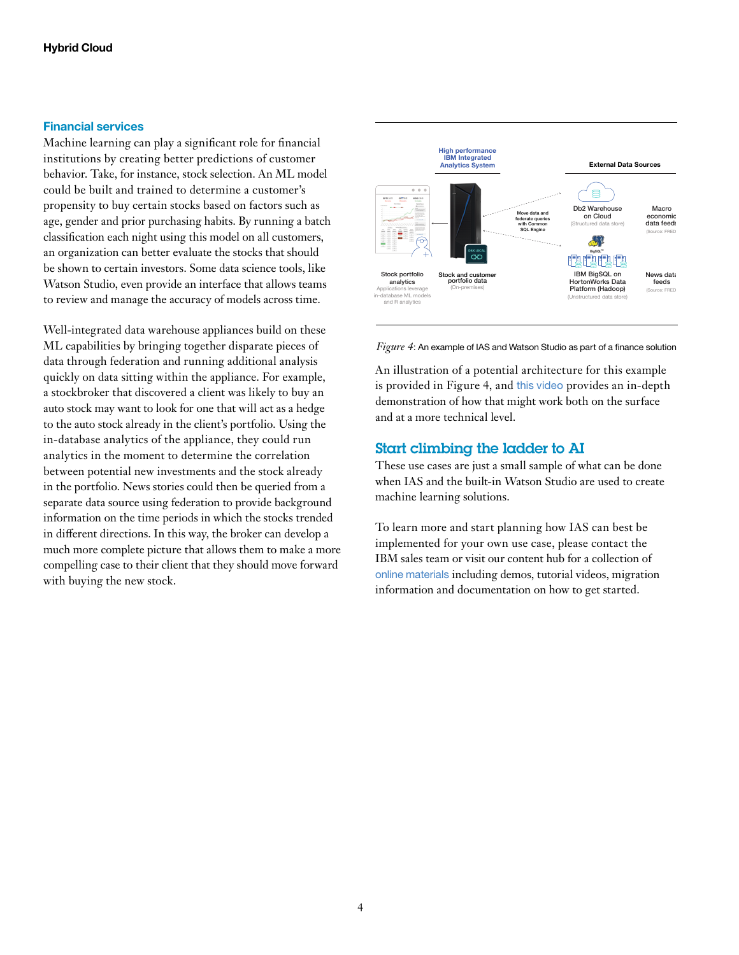### **Financial services**

Machine learning can play a significant role for financial institutions by creating better predictions of customer behavior. Take, for instance, stock selection. An ML model could be built and trained to determine a customer's propensity to buy certain stocks based on factors such as age, gender and prior purchasing habits. By running a batch classification each night using this model on all customers, an organization can better evaluate the stocks that should be shown to certain investors. Some data science tools, like Watson Studio, even provide an interface that allows teams to review and manage the accuracy of models across time.

Well-integrated data warehouse appliances build on these ML capabilities by bringing together disparate pieces of data through federation and running additional analysis quickly on data sitting within the appliance. For example, a stockbroker that discovered a client was likely to buy an auto stock may want to look for one that will act as a hedge to the auto stock already in the client's portfolio. Using the in-database analytics of the appliance, they could run analytics in the moment to determine the correlation between potential new investments and the stock already in the portfolio. News stories could then be queried from a separate data source using federation to provide background information on the time periods in which the stocks trended in different directions. In this way, the broker can develop a much more complete picture that allows them to make a more compelling case to their client that they should move forward with buying the new stock.



*Figure 4*: An example of IAS and Watson Studio as part of a finance solution

An illustration of a potential architecture for this example is provided in Figure 4, and [this video](https://www.youtube.com/watch?v=XTzEc00jx_E) provides an in-depth demonstration of how that might work both on the surface and at a more technical level.

# Start climbing the ladder to AI

These use cases are just a small sample of what can be done when IAS and the built-in Watson Studio are used to create machine learning solutions.

To learn more and start planning how IAS can best be implemented for your own use case, please contact the IBM sales team or visit our content hub for a collection of [online materials](https://docs-iias.mybluemix.net/?cm_mc_uid=92225614294315281336599&cm_mc_sid_50200000=37598461536156430054&cm_mc_sid_52640000=13863221536156430068) including demos, tutorial videos, migration information and documentation on how to get started.